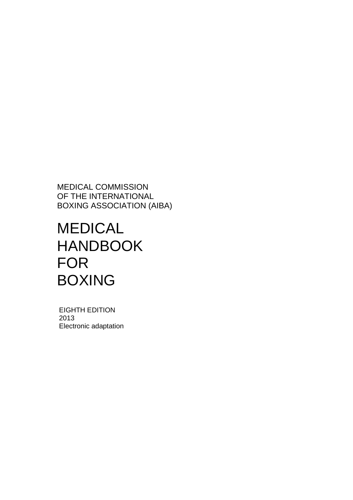MEDICAL COMMISSION OF THE INTERNATIONAL BOXING ASSOCIATION (AIBA)

# MEDICAL HANDBOOK FOR BOXING

 EIGHTH EDITION 2013 Electronic adaptation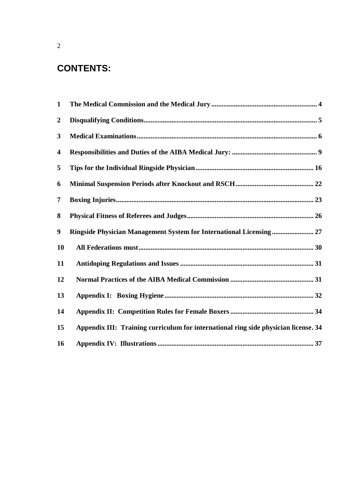# **CONTENTS:**

| $\mathbf{1}$     |                                                                                     |
|------------------|-------------------------------------------------------------------------------------|
| $\boldsymbol{2}$ |                                                                                     |
| 3                |                                                                                     |
| 4                |                                                                                     |
| 5                |                                                                                     |
| 6                |                                                                                     |
| 7                |                                                                                     |
| 8                |                                                                                     |
| 9                |                                                                                     |
| 10               |                                                                                     |
| 11               |                                                                                     |
| 12               |                                                                                     |
| 13               |                                                                                     |
| 14               |                                                                                     |
| 15               | Appendix III: Training curriculum for international ring side physician license. 34 |
| 16               |                                                                                     |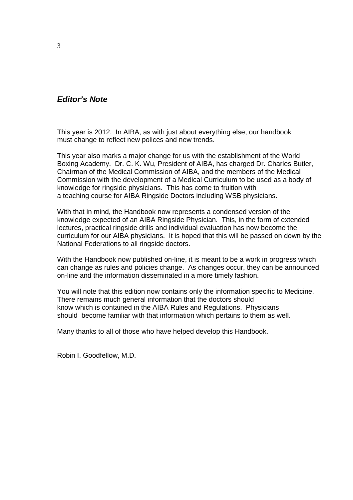# **Editor's Note**

This year is 2012. In AIBA, as with just about everything else, our handbook must change to reflect new polices and new trends.

This year also marks a major change for us with the establishment of the World Boxing Academy. Dr. C. K. Wu, President of AIBA, has charged Dr. Charles Butler, Chairman of the Medical Commission of AIBA, and the members of the Medical Commission with the development of a Medical Curriculum to be used as a body of knowledge for ringside physicians. This has come to fruition with a teaching course for AIBA Ringside Doctors including WSB physicians.

With that in mind, the Handbook now represents a condensed version of the knowledge expected of an AIBA Ringside Physician. This, in the form of extended lectures, practical ringside drills and individual evaluation has now become the curriculum for our AIBA physicians. It is hoped that this will be passed on down by the National Federations to all ringside doctors.

With the Handbook now published on-line, it is meant to be a work in progress which can change as rules and policies change. As changes occur, they can be announced on-line and the information disseminated in a more timely fashion.

You will note that this edition now contains only the information specific to Medicine. There remains much general information that the doctors should know which is contained in the AIBA Rules and Regulations. Physicians should become familiar with that information which pertains to them as well.

Many thanks to all of those who have helped develop this Handbook.

Robin I. Goodfellow, M.D.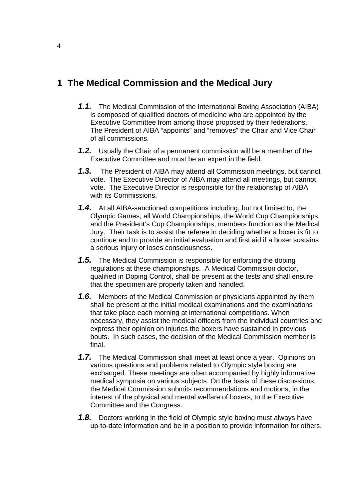# **1 The Medical Commission and the Medical Jury**

- **1.1.** The Medical Commission of the International Boxing Association (AIBA) is composed of qualified doctors of medicine who are appointed by the Executive Committee from among those proposed by their federations. The President of AIBA "appoints" and "removes" the Chair and Vice Chair of all commissions.
- **1.2.** Usually the Chair of a permanent commission will be a member of the Executive Committee and must be an expert in the field.
- **1.3.** The President of AIBA may attend all Commission meetings, but cannot vote. The Executive Director of AIBA may attend all meetings, but cannot vote. The Executive Director is responsible for the relationship of AIBA with its Commissions.
- **1.4.** At all AIBA-sanctioned competitions including, but not limited to, the Olympic Games, all World Championships, the World Cup Championships and the President's Cup Championships, members function as the Medical Jury. Their task is to assist the referee in deciding whether a boxer is fit to continue and to provide an initial evaluation and first aid if a boxer sustains a serious injury or loses consciousness.
- **1.5.** The Medical Commission is responsible for enforcing the doping regulations at these championships. A Medical Commission doctor, qualified in Doping Control, shall be present at the tests and shall ensure that the specimen are properly taken and handled.
- **1.6.** Members of the Medical Commission or physicians appointed by them shall be present at the initial medical examinations and the examinations that take place each morning at international competitions. When necessary, they assist the medical officers from the individual countries and express their opinion on injuries the boxers have sustained in previous bouts. In such cases, the decision of the Medical Commission member is final.
- **1.7.** The Medical Commission shall meet at least once a year. Opinions on various questions and problems related to Olympic style boxing are exchanged. These meetings are often accompanied by highly informative medical symposia on various subjects. On the basis of these discussions, the Medical Commission submits recommendations and motions, in the interest of the physical and mental welfare of boxers, to the Executive Committee and the Congress.
- **1.8.** Doctors working in the field of Olympic style boxing must always have up-to-date information and be in a position to provide information for others.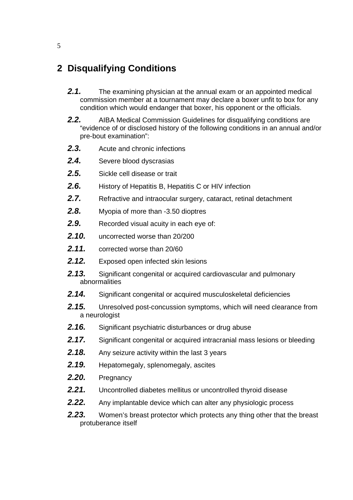# **2 Disqualifying Conditions**

- **2.1.** The examining physician at the annual exam or an appointed medical commission member at a tournament may declare a boxer unfit to box for any condition which would endanger that boxer, his opponent or the officials.
- **2.2.** AIBA Medical Commission Guidelines for disqualifying conditions are "evidence of or disclosed history of the following conditions in an annual and/or pre-bout examination":
- **2.3.** Acute and chronic infections
- 2.4. Severe blood dyscrasias
- **2.5.** Sickle cell disease or trait
- **2.6.** History of Hepatitis B, Hepatitis C or HIV infection
- **2.7.** Refractive and intraocular surgery, cataract, retinal detachment
- **2.8.** Myopia of more than -3.50 dioptres
- **2.9.** Recorded visual acuity in each eye of:
- **2.10.** uncorrected worse than 20/200
- **2.11.** corrected worse than 20/60
- 2.12. Exposed open infected skin lesions
- **2.13.** Significant congenital or acquired cardiovascular and pulmonary abnormalities
- **2.14.** Significant congenital or acquired musculoskeletal deficiencies
- **2.15.** Unresolved post-concussion symptoms, which will need clearance from a neurologist
- **2.16.** Significant psychiatric disturbances or drug abuse
- **2.17.** Significant congenital or acquired intracranial mass lesions or bleeding
- **2.18.** Any seizure activity within the last 3 years
- **2.19.** Hepatomegaly, splenomegaly, ascites
- **2.20.** Pregnancy
- **2.21.** Uncontrolled diabetes mellitus or uncontrolled thyroid disease
- **2.22.** Any implantable device which can alter any physiologic process
- **2.23.** Women's breast protector which protects any thing other that the breast protuberance itself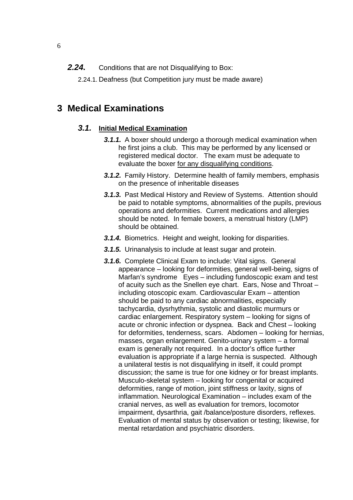- **2.24.** Conditions that are not Disqualifying to Box:
	- 2.24.1. Deafness (but Competition jury must be made aware)

# **3 Medical Examinations**

# **3.1. Initial Medical Examination**

- **3.1.1.** A boxer should undergo a thorough medical examination when he first joins a club. This may be performed by any licensed or registered medical doctor. The exam must be adequate to evaluate the boxer for any disqualifying conditions.
- **3.1.2.** Family History. Determine health of family members, emphasis on the presence of inheritable diseases
- **3.1.3.** Past Medical History and Review of Systems. Attention should be paid to notable symptoms, abnormalities of the pupils, previous operations and deformities. Current medications and allergies should be noted. In female boxers, a menstrual history (LMP) should be obtained.
- **3.1.4.** Biometrics. Height and weight, looking for disparities.
- **3.1.5.** Urinanalysis to include at least sugar and protein.
- **3.1.6.** Complete Clinical Exam to include: Vital signs. General appearance – looking for deformities, general well-being, signs of Marfan's syndrome Eyes – including fundoscopic exam and test of acuity such as the Snellen eye chart. Ears, Nose and Throat – including otoscopic exam. Cardiovascular Exam – attention should be paid to any cardiac abnormalities, especially tachycardia, dysrhythmia, systolic and diastolic murmurs or cardiac enlargement. Respiratory system – looking for signs of acute or chronic infection or dyspnea. Back and Chest – looking for deformities, tenderness, scars. Abdomen – looking for hernias, masses, organ enlargement. Genito-urinary system – a formal exam is generally not required. In a doctor's office further evaluation is appropriate if a large hernia is suspected. Although a unilateral testis is not disqualifying in itself, it could prompt discussion; the same is true for one kidney or for breast implants. Musculo-skeletal system – looking for congenital or acquired deformities, range of motion, joint stiffness or laxity, signs of inflammation. Neurological Examination – includes exam of the cranial nerves, as well as evaluation for tremors, locomotor impairment, dysarthria, gait /balance/posture disorders, reflexes. Evaluation of mental status by observation or testing; likewise, for mental retardation and psychiatric disorders.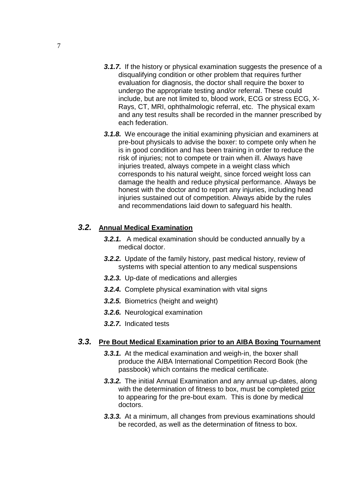- **3.1.7.** If the history or physical examination suggests the presence of a disqualifying condition or other problem that requires further evaluation for diagnosis, the doctor shall require the boxer to undergo the appropriate testing and/or referral. These could include, but are not limited to, blood work, ECG or stress ECG, X-Rays, CT, MRI, ophthalmologic referral, etc. The physical exam and any test results shall be recorded in the manner prescribed by each federation.
- **3.1.8.** We encourage the initial examining physician and examiners at pre-bout physicals to advise the boxer: to compete only when he is in good condition and has been training in order to reduce the risk of injuries; not to compete or train when ill. Always have injuries treated, always compete in a weight class which corresponds to his natural weight, since forced weight loss can damage the health and reduce physical performance. Always be honest with the doctor and to report any injuries, including head injuries sustained out of competition. Always abide by the rules and recommendations laid down to safeguard his health.

# **3.2. Annual Medical Examination**

- **3.2.1.** A medical examination should be conducted annually by a medical doctor.
- **3.2.2.** Update of the family history, past medical history, review of systems with special attention to any medical suspensions
- **3.2.3.** Up-date of medications and allergies
- **3.2.4.** Complete physical examination with vital signs
- **3.2.5.** Biometrics (height and weight)
- **3.2.6.** Neurological examination
- **3.2.7.** Indicated tests

### **3.3. Pre Bout Medical Examination prior to an AIBA Boxing Tournament**

- **3.3.1.** At the medical examination and weigh-in, the boxer shall produce the AIBA International Competition Record Book (the passbook) which contains the medical certificate.
- **3.3.2.** The initial Annual Examination and any annual up-dates, along with the determination of fitness to box, must be completed prior to appearing for the pre-bout exam. This is done by medical doctors.
- **3.3.3.** At a minimum, all changes from previous examinations should be recorded, as well as the determination of fitness to box.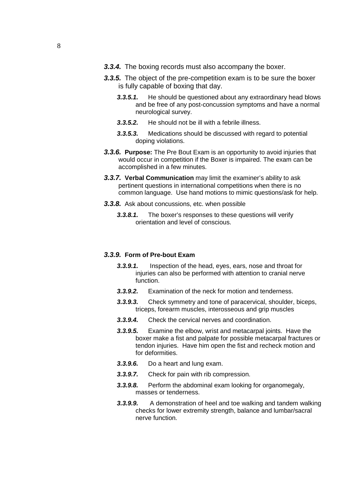- **3.3.4.** The boxing records must also accompany the boxer.
- **3.3.5.** The object of the pre-competition exam is to be sure the boxer is fully capable of boxing that day.
	- **3.3.5.1.** He should be questioned about any extraordinary head blows and be free of any post-concussion symptoms and have a normal neurological survey.
	- **3.3.5.2.** He should not be ill with a febrile illness.
	- **3.3.5.3.** Medications should be discussed with regard to potential doping violations.
- **3.3.6. Purpose:** The Pre Bout Exam is an opportunity to avoid injuries that would occur in competition if the Boxer is impaired. The exam can be accomplished in a few minutes.
- **3.3.7. Verbal Communication** may limit the examiner's ability to ask pertinent questions in international competitions when there is no common language. Use hand motions to mimic questions/ask for help.
- **3.3.8.** Ask about concussions, etc. when possible
	- **3.3.8.1.** The boxer's responses to these questions will verify orientation and level of conscious.

#### **3.3.9. Form of Pre-bout Exam**

- **3.3.9.1.** Inspection of the head, eyes, ears, nose and throat for injuries can also be performed with attention to cranial nerve function.
- **3.3.9.2.** Examination of the neck for motion and tenderness.
- **3.3.9.3.** Check symmetry and tone of paracervical, shoulder, biceps, triceps, forearm muscles, interosseous and grip muscles
- **3.3.9.4.** Check the cervical nerves and coordination.
- **3.3.9.5.** Examine the elbow, wrist and metacarpal joints. Have the boxer make a fist and palpate for possible metacarpal fractures or tendon injuries. Have him open the fist and recheck motion and for deformities.
- **3.3.9.6.** Do a heart and lung exam.
- **3.3.9.7.** Check for pain with rib compression.
- **3.3.9.8.** Perform the abdominal exam looking for organomegaly, masses or tenderness.
- **3.3.9.9.** A demonstration of heel and toe walking and tandem walking checks for lower extremity strength, balance and lumbar/sacral nerve function.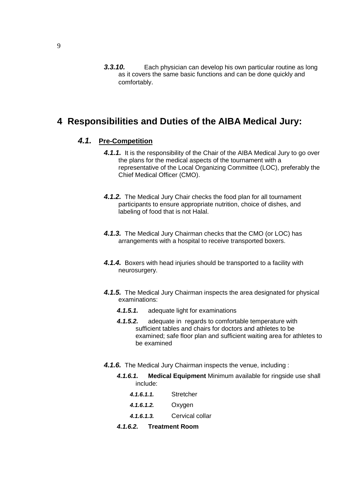**3.3.10.** Each physician can develop his own particular routine as long as it covers the same basic functions and can be done quickly and comfortably.

# **4 Responsibilities and Duties of the AIBA Medical Jury:**

# **4.1. Pre-Competition**

- **4.1.1.** It is the responsibility of the Chair of the AIBA Medical Jury to go over the plans for the medical aspects of the tournament with a representative of the Local Organizing Committee (LOC), preferably the Chief Medical Officer (CMO).
- **4.1.2.** The Medical Jury Chair checks the food plan for all tournament participants to ensure appropriate nutrition, choice of dishes, and labeling of food that is not Halal.
- **4.1.3.** The Medical Jury Chairman checks that the CMO (or LOC) has arrangements with a hospital to receive transported boxers.
- **4.1.4.** Boxers with head injuries should be transported to a facility with neurosurgery.
- **4.1.5.** The Medical Jury Chairman inspects the area designated for physical examinations:
	- **4.1.5.1.** adequate light for examinations
	- **4.1.5.2.** adequate in regards to comfortable temperature with sufficient tables and chairs for doctors and athletes to be examined; safe floor plan and sufficient waiting area for athletes to be examined
- **4.1.6.** The Medical Jury Chairman inspects the venue, including :
	- **4.1.6.1. Medical Equipment** Minimum available for ringside use shall include:
		- **4.1.6.1.1.** Stretcher
		- **4.1.6.1.2.** Oxygen
		- **4.1.6.1.3.** Cervical collar
	- **4.1.6.2. Treatment Room**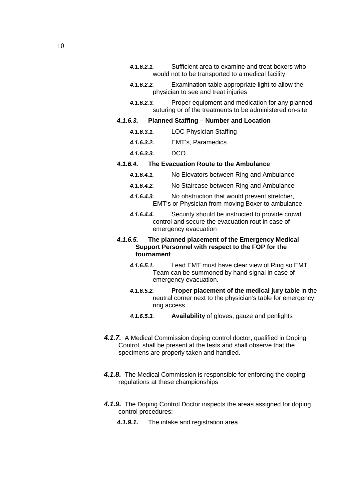- **4.1.6.2.1.** Sufficient area to examine and treat boxers who would not to be transported to a medical facility
- **4.1.6.2.2.** Examination table appropriate light to allow the physician to see and treat injuries
- **4.1.6.2.3.** Proper equipment and medication for any planned suturing or of the treatments to be administered on-site

#### **4.1.6.3. Planned Staffing – Number and Location**

- **4.1.6.3.1.** LOC Physician Staffing
- **4.1.6.3.2.** EMT's, Paramedics
- **4.1.6.3.3.** DCO

#### **4.1.6.4. The Evacuation Route to the Ambulance**

- **4.1.6.4.1.** No Elevators between Ring and Ambulance
- **4.1.6.4.2.** No Staircase between Ring and Ambulance
- **4.1.6.4.3.** No obstruction that would prevent stretcher, EMT's or Physician from moving Boxer to ambulance
- **4.1.6.4.4.** Security should be instructed to provide crowd control and secure the evacuation rout in case of emergency evacuation

#### **4.1.6.5. The planned placement of the Emergency Medical Support Personnel with respect to the FOP for the tournament**

- **4.1.6.5.1.** Lead EMT must have clear view of Ring so EMT Team can be summoned by hand signal in case of emergency evacuation.
- **4.1.6.5.2. Proper placement of the medical jury table** in the neutral corner next to the physician's table for emergency ring access
- **4.1.6.5.3. Availability** of gloves, gauze and penlights
- **4.1.7.** A Medical Commission doping control doctor, qualified in Doping Control, shall be present at the tests and shall observe that the specimens are properly taken and handled.
- **4.1.8.** The Medical Commission is responsible for enforcing the doping regulations at these championships
- **4.1.9.** The Doping Control Doctor inspects the areas assigned for doping control procedures:
	- **4.1.9.1.** The intake and registration area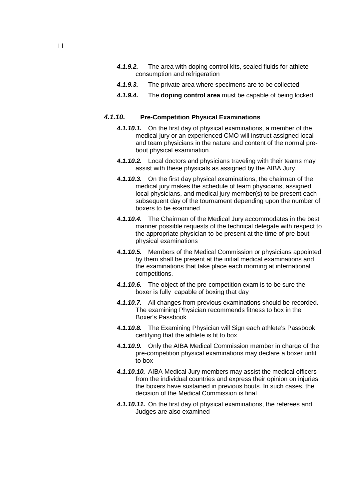- **4.1.9.2.** The area with doping control kits, sealed fluids for athlete consumption and refrigeration
- **4.1.9.3.** The private area where specimens are to be collected
- **4.1.9.4.** The **doping control area** must be capable of being locked

#### **4.1.10. Pre-Competition Physical Examinations**

- **4.1.10.1.** On the first day of physical examinations, a member of the medical jury or an experienced CMO will instruct assigned local and team physicians in the nature and content of the normal prebout physical examination.
- **4.1.10.2.** Local doctors and physicians traveling with their teams may assist with these physicals as assigned by the AIBA Jury.
- **4.1.10.3.** On the first day physical examinations, the chairman of the medical jury makes the schedule of team physicians, assigned local physicians, and medical jury member(s) to be present each subsequent day of the tournament depending upon the number of boxers to be examined
- **4.1.10.4.** The Chairman of the Medical Jury accommodates in the best manner possible requests of the technical delegate with respect to the appropriate physician to be present at the time of pre-bout physical examinations
- **4.1.10.5.** Members of the Medical Commission or physicians appointed by them shall be present at the initial medical examinations and the examinations that take place each morning at international competitions.
- **4.1.10.6.** The object of the pre-competition exam is to be sure the boxer is fully capable of boxing that day
- **4.1.10.7.** All changes from previous examinations should be recorded. The examining Physician recommends fitness to box in the Boxer's Passbook
- **4.1.10.8.** The Examining Physician will Sign each athlete's Passbook certifying that the athlete is fit to box
- **4.1.10.9.** Only the AIBA Medical Commission member in charge of the pre-competition physical examinations may declare a boxer unfit to box
- **4.1.10.10.** AIBA Medical Jury members may assist the medical officers from the individual countries and express their opinion on injuries the boxers have sustained in previous bouts. In such cases, the decision of the Medical Commission is final
- **4.1.10.11.** On the first day of physical examinations, the referees and Judges are also examined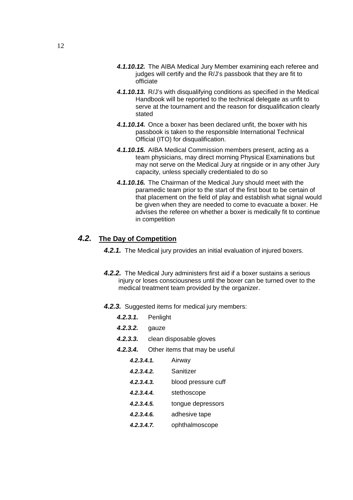- **4.1.10.12.** The AIBA Medical Jury Member examining each referee and judges will certify and the R/J's passbook that they are fit to officiate
- **4.1.10.13.** R/J's with disqualifying conditions as specified in the Medical Handbook will be reported to the technical delegate as unfit to serve at the tournament and the reason for disqualification clearly stated
- **4.1.10.14.** Once a boxer has been declared unfit, the boxer with his passbook is taken to the responsible International Technical Official (ITO) for disqualification.
- **4.1.10.15.** AIBA Medical Commission members present, acting as a team physicians, may direct morning Physical Examinations but may not serve on the Medical Jury at ringside or in any other Jury capacity, unless specially credentialed to do so
- **4.1.10.16.** The Chairman of the Medical Jury should meet with the paramedic team prior to the start of the first bout to be certain of that placement on the field of play and establish what signal would be given when they are needed to come to evacuate a boxer. He advises the referee on whether a boxer is medically fit to continue in competition

### **4.2. The Day of Competition**

**4.2.1.** The Medical jury provides an initial evaluation of injured boxers.

- **4.2.2.** The Medical Jury administers first aid if a boxer sustains a serious injury or loses consciousness until the boxer can be turned over to the medical treatment team provided by the organizer.
- **4.2.3.** Suggested items for medical jury members:
	- **4.2.3.1.** Penlight
	- **4.2.3.2.** gauze
	- **4.2.3.3.** clean disposable gloves
	- **4.2.3.4.** Other items that may be useful
		- **4.2.3.4.1.** Airway **4.2.3.4.2.** Sanitizer **4.2.3.4.3.** blood pressure cuff **4.2.3.4.4.** stethoscope **4.2.3.4.5.** tongue depressors
		- **4.2.3.4.6.** adhesive tape
		- **4.2.3.4.7.** ophthalmoscope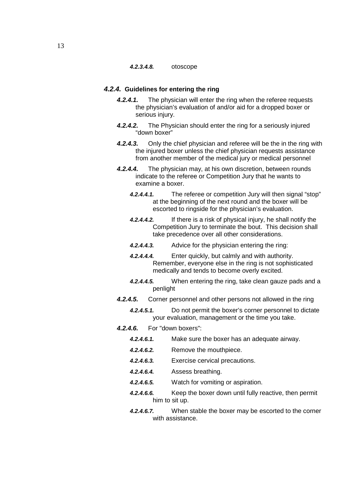#### **4.2.3.4.8.** otoscope

#### **4.2.4. Guidelines for entering the ring**

- **4.2.4.1.** The physician will enter the ring when the referee requests the physician's evaluation of and/or aid for a dropped boxer or serious injury.
- **4.2.4.2.** The Physician should enter the ring for a seriously injured "down boxer"
- **4.2.4.3.** Only the chief physician and referee will be the in the ring with the injured boxer unless the chief physician requests assistance from another member of the medical jury or medical personnel
- **4.2.4.4.** The physician may, at his own discretion, between rounds indicate to the referee or Competition Jury that he wants to examine a boxer.
	- **4.2.4.4.1.** The referee or competition Jury will then signal "stop" at the beginning of the next round and the boxer will be escorted to ringside for the physician's evaluation.
	- **4.2.4.4.2.** If there is a risk of physical injury, he shall notify the Competition Jury to terminate the bout. This decision shall take precedence over all other considerations.
	- **4.2.4.4.3.** Advice for the physician entering the ring:
	- **4.2.4.4.4.** Enter quickly, but calmly and with authority. Remember, everyone else in the ring is not sophisticated medically and tends to become overly excited.
	- **4.2.4.4.5.** When entering the ring, take clean gauze pads and a penlight
- **4.2.4.5.** Corner personnel and other persons not allowed in the ring
	- **4.2.4.5.1.** Do not permit the boxer's corner personnel to dictate your evaluation, management or the time you take.
- **4.2.4.6.** For "down boxers":
	- **4.2.4.6.1.** Make sure the boxer has an adequate airway. **4.2.4.6.2.** Remove the mouthpiece. **4.2.4.6.3.** Exercise cervical precautions. **4.2.4.6.4.** Assess breathing.
	- **4.2.4.6.5.** Watch for vomiting or aspiration.
	- **4.2.4.6.6.** Keep the boxer down until fully reactive, then permit him to sit up.
	- **4.2.4.6.7.** When stable the boxer may be escorted to the corner with assistance.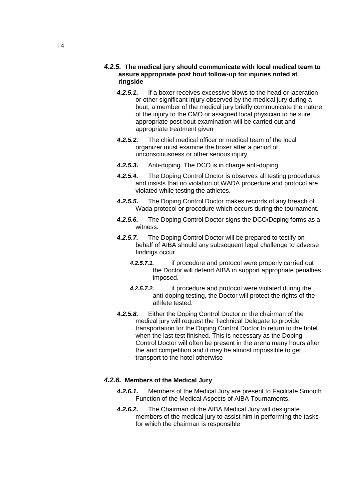#### **4.2.5. The medical jury should communicate with local medical team to assure appropriate post bout follow-up for injuries noted at ringside**

- **4.2.5.1.** If a boxer receives excessive blows to the head or laceration or other significant injury observed by the medical jury during a bout, a member of the medical jury briefly communicate the nature of the injury to the CMO or assigned local physician to be sure appropriate post bout examination will be carried out and appropriate treatment given
- **4.2.5.2.** The chief medical officer or medical team of the local organizer must examine the boxer after a period of unconsciousness or other serious injury.
- **4.2.5.3.** Anti-doping. The DCO is in charge anti-doping.
- **4.2.5.4.** The Doping Control Doctor is observes all testing procedures and insists that no violation of WADA procedure and protocol are violated while testing the athletes.
- **4.2.5.5.** The Doping Control Doctor makes records of any breach of Wada protocol or procedure which occurs during the tournament.
- **4.2.5.6.** The Doping Control Doctor signs the DCO/Doping forms as a witness.
- **4.2.5.7.** The Doping Control Doctor will be prepared to testify on behalf of AIBA should any subsequent legal challenge to adverse findings occur
	- **4.2.5.7.1.** if procedure and protocol were properly carried out the Doctor will defend AIBA in support appropriate penalties imposed.
	- **4.2.5.7.2.** if procedure and protocol were violated during the anti-doping testing, the Doctor will protect the rights of the athlete tested.
- **4.2.5.8.** Either the Doping Control Doctor or the chairman of the medical jury will request the Technical Delegate to provide transportation for the Doping Control Doctor to return to the hotel when the last test finished. This is necessary as the Doping Control Doctor will often be present in the arena many hours after the and competition and it may be almost impossible to get transport to the hotel otherwise

#### **4.2.6. Members of the Medical Jury**

- **4.2.6.1.** Members of the Medical Jury are present to Facilitate Smooth Function of the Medical Aspects of AIBA Tournaments.
- **4.2.6.2.** The Chairman of the AIBA Medical Jury will designate members of the medical jury to assist him in performing the tasks for which the chairman is responsible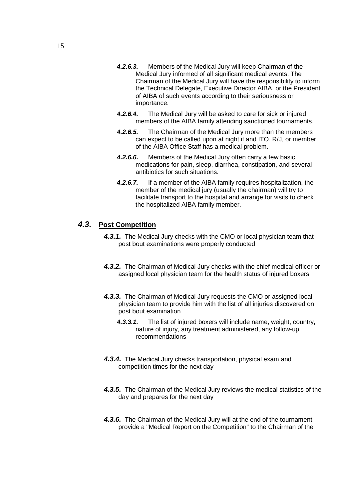- **4.2.6.3.** Members of the Medical Jury will keep Chairman of the Medical Jury informed of all significant medical events. The Chairman of the Medical Jury will have the responsibility to inform the Technical Delegate, Executive Director AIBA, or the President of AIBA of such events according to their seriousness or importance.
- **4.2.6.4.** The Medical Jury will be asked to care for sick or injured members of the AIBA family attending sanctioned tournaments.
- **4.2.6.5.** The Chairman of the Medical Jury more than the members can expect to be called upon at night if and ITO. R/J, or member of the AIBA Office Staff has a medical problem.
- **4.2.6.6.** Members of the Medical Jury often carry a few basic medications for pain, sleep, diarrhea, constipation, and several antibiotics for such situations.
- **4.2.6.7.** If a member of the AIBA family requires hospitalization, the member of the medical jury (usually the chairman) will try to facilitate transport to the hospital and arrange for visits to check the hospitalized AIBA family member.

# **4.3. Post Competition**

- **4.3.1.** The Medical Jury checks with the CMO or local physician team that post bout examinations were properly conducted
- **4.3.2.** The Chairman of Medical Jury checks with the chief medical officer or assigned local physician team for the health status of injured boxers
- **4.3.3.** The Chairman of Medical Jury requests the CMO or assigned local physician team to provide him with the list of all injuries discovered on post bout examination
	- **4.3.3.1.** The list of injured boxers will include name, weight, country, nature of injury, any treatment administered, any follow-up recommendations
- **4.3.4.** The Medical Jury checks transportation, physical exam and competition times for the next day
- **4.3.5.** The Chairman of the Medical Jury reviews the medical statistics of the day and prepares for the next day
- **4.3.6.** The Chairman of the Medical Jury will at the end of the tournament provide a "Medical Report on the Competition" to the Chairman of the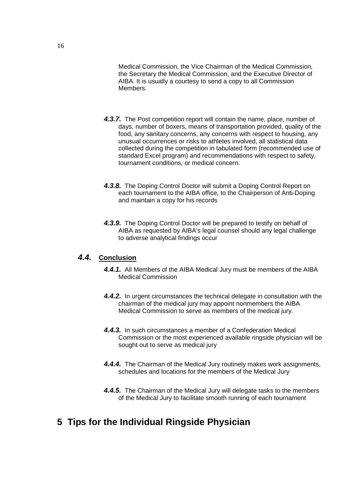Medical Commission, the Vice Chairman of the Medical Commission, the Secretary the Medical Commission, and the Executive Director of AIBA. It is usually a courtesy to send a copy to all Commission Members.

- **4.3.7.** The Post competition report will contain the name, place, number of days, number of boxers, means of transportation provided, quality of the food, any sanitary concerns, any concerns with respect to housing, any unusual occurrences or risks to athletes involved, all statistical data collected during the competition in tabulated form (recommended use of standard Excel program) and recommendations with respect to safety, tournament conditions, or medical concern.
- **4.3.8.** The Doping Control Doctor will submit a Doping Control Report on each tournament to the AIBA office, to the Chairperson of Anti-Doping and maintain a copy for his records
- **4.3.9.** The Doping Control Doctor will be prepared to testify on behalf of AIBA as requested by AIBA's legal counsel should any legal challenge to adverse analytical findings occur

# **4.4. Conclusion**

- **4.4.1.** All Members of the AIBA Medical Jury must be members of the AIBA Medical Commission
- **4.4.2.** In urgent circumstances the technical delegate in consultation with the chairman of the medical jury may appoint nonmembers the AIBA Medical Commission to serve as members of the medical jury.
- **4.4.3.** In such circumstances a member of a Confederation Medical Commission or the most experienced available ringside physician will be sought out to serve as medical jury
- **4.4.4.** The Chairman of the Medical Jury routinely makes work assignments, schedules and locations for the members of the Medical Jury
- **4.4.5.** The Chairman of the Medical Jury will delegate tasks to the members of the Medical Jury to facilitate smooth running of each tournament

# **5 Tips for the Individual Ringside Physician**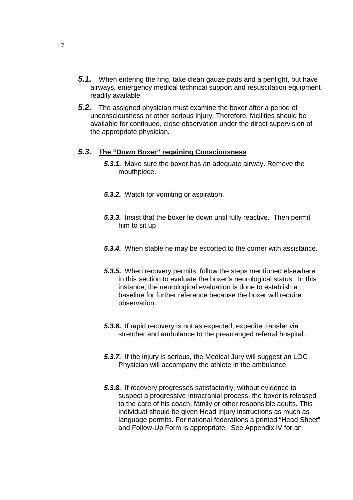- **5.1.** When entering the ring, take clean gauze pads and a penlight, but have airways, emergency medical technical support and resuscitation equipment readily available
- **5.2.** The assigned physician must examine the boxer after a period of unconsciousness or other serious injury. Therefore, facilities should be available for continued, close observation under the direct supervision of the appropriate physician.

#### **5.3. The "Down Boxer" regaining Consciousness**

- **5.3.1.** Make sure the boxer has an adequate airway. Remove the mouthpiece.
- **5.3.2.** Watch for vomiting or aspiration.
- **5.3.3.** Insist that the boxer lie down until fully reactive. Then permit him to sit up
- **5.3.4.** When stable he may be escorted to the corner with assistance.
- **5.3.5.** When recovery permits, follow the steps mentioned elsewhere in this section to evaluate the boxer's neurological status. In this instance, the neurological evaluation is done to establish a baseline for further reference because the boxer will require observation.
- **5.3.6.** If rapid recovery is not as expected, expedite transfer via stretcher and ambulance to the prearranged referral hospital.
- **5.3.7.** If the injury is serious, the Medical Jury will suggest an LOC Physician will accompany the athlete in the ambulance
- **5.3.8.** If recovery progresses satisfactorily, without evidence to suspect a progressive intracranial process, the boxer is released to the care of his coach, family or other responsible adults. This individual should be given Head Injury instructions as much as language permits. For national federations a printed "Head Sheet" and Follow-Up Form is appropriate. See Appendix lV for an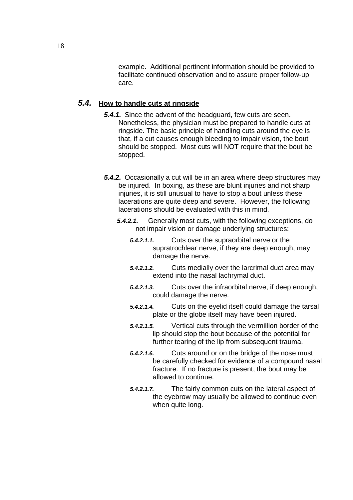example. Additional pertinent information should be provided to facilitate continued observation and to assure proper follow-up care.

### **5.4. How to handle cuts at ringside**

- **5.4.1.** Since the advent of the headguard, few cuts are seen. Nonetheless, the physician must be prepared to handle cuts at ringside. The basic principle of handling cuts around the eye is that, if a cut causes enough bleeding to impair vision, the bout should be stopped. Most cuts will NOT require that the bout be stopped.
- **5.4.2.** Occasionally a cut will be in an area where deep structures may be injured. In boxing, as these are blunt injuries and not sharp injuries, it is still unusual to have to stop a bout unless these lacerations are quite deep and severe. However, the following lacerations should be evaluated with this in mind.
	- **5.4.2.1.** Generally most cuts, with the following exceptions, do not impair vision or damage underlying structures:
		- **5.4.2.1.1.** Cuts over the supraorbital nerve or the supratrochlear nerve, if they are deep enough, may damage the nerve.
		- **5.4.2.1.2.** Cuts medially over the larcrimal duct area may extend into the nasal lachrymal duct.
		- **5.4.2.1.3.** Cuts over the infraorbital nerve, if deep enough, could damage the nerve.
		- **5.4.2.1.4.** Cuts on the eyelid itself could damage the tarsal plate or the globe itself may have been injured.
		- **5.4.2.1.5.** Vertical cuts through the vermillion border of the lip should stop the bout because of the potential for further tearing of the lip from subsequent trauma.
		- **5.4.2.1.6.** Cuts around or on the bridge of the nose must be carefully checked for evidence of a compound nasal fracture. If no fracture is present, the bout may be allowed to continue.
		- **5.4.2.1.7.** The fairly common cuts on the lateral aspect of the eyebrow may usually be allowed to continue even when quite long.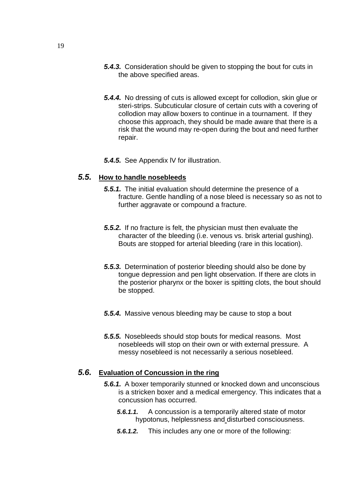- **5.4.3.** Consideration should be given to stopping the bout for cuts in the above specified areas.
- **5.4.4.** No dressing of cuts is allowed except for collodion, skin glue or steri-strips. Subcuticular closure of certain cuts with a covering of collodion may allow boxers to continue in a tournament. If they choose this approach, they should be made aware that there is a risk that the wound may re-open during the bout and need further repair.
- **5.4.5.** See Appendix lV for illustration.

#### **5.5. How to handle nosebleeds**

- **5.5.1.** The initial evaluation should determine the presence of a fracture. Gentle handling of a nose bleed is necessary so as not to further aggravate or compound a fracture.
- **5.5.2.** If no fracture is felt, the physician must then evaluate the character of the bleeding (i.e. venous vs. brisk arterial gushing). Bouts are stopped for arterial bleeding (rare in this location).
- **5.5.3.** Determination of posterior bleeding should also be done by tongue depression and pen light observation. If there are clots in the posterior pharynx or the boxer is spitting clots, the bout should be stopped.
- **5.5.4.** Massive venous bleeding may be cause to stop a bout
- **5.5.5.** Nosebleeds should stop bouts for medical reasons. Most nosebleeds will stop on their own or with external pressure. A messy nosebleed is not necessarily a serious nosebleed.

### **5.6. Evaluation of Concussion in the ring**

- **5.6.1.** A boxer temporarily stunned or knocked down and unconscious is a stricken boxer and a medical emergency. This indicates that a concussion has occurred.
	- **5.6.1.1.** A concussion is a temporarily altered state of motor hypotonus, helplessness and disturbed consciousness.
	- **5.6.1.2.** This includes any one or more of the following: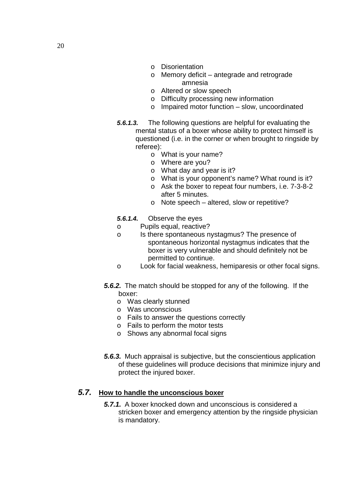- o Disorientation
- o Memory deficit antegrade and retrograde amnesia
- o Altered or slow speech
- o Difficulty processing new information
- o Impaired motor function slow, uncoordinated
- **5.6.1.3.** The following questions are helpful for evaluating the mental status of a boxer whose ability to protect himself is questioned (i.e. in the corner or when brought to ringside by referee):
	- o What is your name?
	- o Where are you?
	- o What day and year is it?
	- o What is your opponent's name? What round is it?
	- o Ask the boxer to repeat four numbers, i.e. 7-3-8-2 after 5 minutes.
	- o Note speech altered, slow or repetitive?
- **5.6.1.4.** Observe the eyes
- o Pupils equal, reactive?
- o Is there spontaneous nystagmus? The presence of spontaneous horizontal nystagmus indicates that the boxer is very vulnerable and should definitely not be permitted to continue.
- o Look for facial weakness, hemiparesis or other focal signs.
- **5.6.2.** The match should be stopped for any of the following. If the boxer:
	- o Was clearly stunned
	- o Was unconscious
	- o Fails to answer the questions correctly
	- o Fails to perform the motor tests
	- o Shows any abnormal focal signs
- **5.6.3.** Much appraisal is subjective, but the conscientious application of these guidelines will produce decisions that minimize injury and protect the injured boxer.

### **5.7. How to handle the unconscious boxer**

**5.7.1.** A boxer knocked down and unconscious is considered a stricken boxer and emergency attention by the ringside physician is mandatory.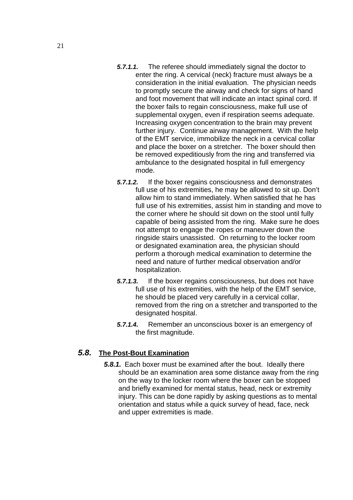- **5.7.1.1.** The referee should immediately signal the doctor to enter the ring. A cervical (neck) fracture must always be a consideration in the initial evaluation. The physician needs to promptly secure the airway and check for signs of hand and foot movement that will indicate an intact spinal cord. If the boxer fails to regain consciousness, make full use of supplemental oxygen, even if respiration seems adequate. Increasing oxygen concentration to the brain may prevent further injury. Continue airway management. With the help of the EMT service, immobilize the neck in a cervical collar and place the boxer on a stretcher. The boxer should then be removed expeditiously from the ring and transferred via ambulance to the designated hospital in full emergency mode.
- **5.7.1.2.** If the boxer regains consciousness and demonstrates full use of his extremities, he may be allowed to sit up. Don't allow him to stand immediately. When satisfied that he has full use of his extremities, assist him in standing and move to the corner where he should sit down on the stool until fully capable of being assisted from the ring. Make sure he does not attempt to engage the ropes or maneuver down the ringside stairs unassisted. On returning to the locker room or designated examination area, the physician should perform a thorough medical examination to determine the need and nature of further medical observation and/or hospitalization.
- **5.7.1.3.** If the boxer regains consciousness, but does not have full use of his extremities, with the help of the EMT service, he should be placed very carefully in a cervical collar, removed from the ring on a stretcher and transported to the designated hospital.
- **5.7.1.4.** Remember an unconscious boxer is an emergency of the first magnitude.

# **5.8. The Post-Bout Examination**

**5.8.1.** Each boxer must be examined after the bout. Ideally there should be an examination area some distance away from the ring on the way to the locker room where the boxer can be stopped and briefly examined for mental status, head, neck or extremity injury. This can be done rapidly by asking questions as to mental orientation and status while a quick survey of head, face, neck and upper extremities is made.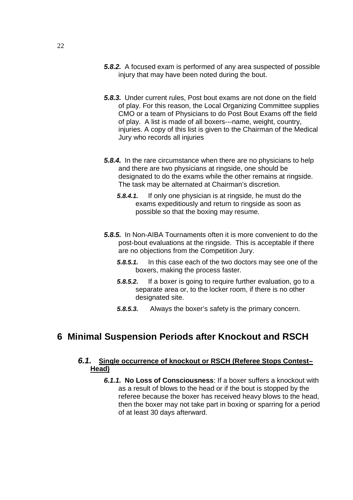- **5.8.2.** A focused exam is performed of any area suspected of possible injury that may have been noted during the bout.
- **5.8.3.** Under current rules, Post bout exams are not done on the field of play. For this reason, the Local Organizing Committee supplies CMO or a team of Physicians to do Post Bout Exams off the field of play. A list is made of all boxers---name, weight, country, injuries. A copy of this list is given to the Chairman of the Medical Jury who records all injuries
- **5.8.4.** In the rare circumstance when there are no physicians to help and there are two physicians at ringside, one should be designated to do the exams while the other remains at ringside. The task may be alternated at Chairman's discretion.
	- **5.8.4.1.** If only one physician is at ringside, he must do the exams expeditiously and return to ringside as soon as possible so that the boxing may resume.
- **5.8.5.** In Non-AIBA Tournaments often it is more convenient to do the post-bout evaluations at the ringside. This is acceptable if there are no objections from the Competition Jury.
	- **5.8.5.1.** In this case each of the two doctors may see one of the boxers, making the process faster.
	- **5.8.5.2.** If a boxer is going to require further evaluation, go to a separate area or, to the locker room, if there is no other designated site.
	- **5.8.5.3.** Always the boxer's safety is the primary concern.

# **6 Minimal Suspension Periods after Knockout and RSCH**

### **6.1. Single occurrence of knockout or RSCH (Referee Stops Contest– Head)**

**6.1.1. No Loss of Consciousness**: If a boxer suffers a knockout with as a result of blows to the head or if the bout is stopped by the referee because the boxer has received heavy blows to the head, then the boxer may not take part in boxing or sparring for a period of at least 30 days afterward.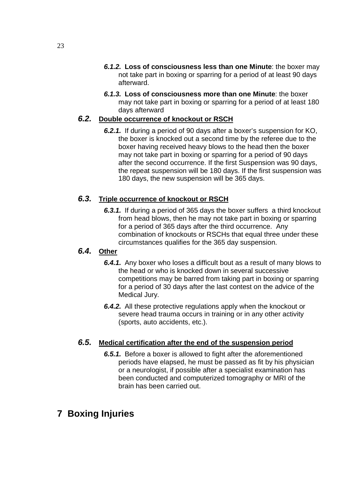- **6.1.2. Loss of consciousness less than one Minute**: the boxer may not take part in boxing or sparring for a period of at least 90 days afterward.
- **6.1.3. Loss of consciousness more than one Minute**: the boxer may not take part in boxing or sparring for a period of at least 180 days afterward

# **6.2. Double occurrence of knockout or RSCH**

**6.2.1.** If during a period of 90 days after a boxer's suspension for KO, the boxer is knocked out a second time by the referee due to the boxer having received heavy blows to the head then the boxer may not take part in boxing or sparring for a period of 90 days after the second occurrence. If the first Suspension was 90 days, the repeat suspension will be 180 days. If the first suspension was 180 days, the new suspension will be 365 days.

# **6.3. Triple occurrence of knockout or RSCH**

**6.3.1.** If during a period of 365 days the boxer suffers a third knockout from head blows, then he may not take part in boxing or sparring for a period of 365 days after the third occurrence. Any combination of knockouts or RSCHs that equal three under these circumstances qualifies for the 365 day suspension.

# **6.4. Other**

- **6.4.1.** Any boxer who loses a difficult bout as a result of many blows to the head or who is knocked down in several successive competitions may be barred from taking part in boxing or sparring for a period of 30 days after the last contest on the advice of the Medical Jury.
- **6.4.2.** All these protective regulations apply when the knockout or severe head trauma occurs in training or in any other activity (sports, auto accidents, etc.).

# **6.5. Medical certification after the end of the suspension period**

**6.5.1.** Before a boxer is allowed to fight after the aforementioned periods have elapsed, he must be passed as fit by his physician or a neurologist, if possible after a specialist examination has been conducted and computerized tomography or MRI of the brain has been carried out.

# **7 Boxing Injuries**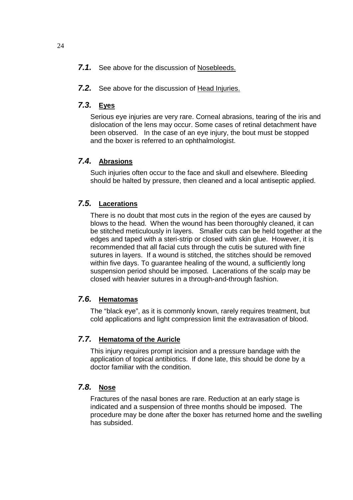- **7.1.** See above for the discussion of Nosebleeds.
- **7.2.** See above for the discussion of Head Injuries.

#### **7.3. Eyes**

Serious eye injuries are very rare. Corneal abrasions, tearing of the iris and dislocation of the lens may occur. Some cases of retinal detachment have been observed. In the case of an eye injury, the bout must be stopped and the boxer is referred to an ophthalmologist.

# **7.4. Abrasions**

Such injuries often occur to the face and skull and elsewhere. Bleeding should be halted by pressure, then cleaned and a local antiseptic applied.

# **7.5. Lacerations**

There is no doubt that most cuts in the region of the eyes are caused by blows to the head. When the wound has been thoroughly cleaned, it can be stitched meticulously in layers. Smaller cuts can be held together at the edges and taped with a steri-strip or closed with skin glue. However, it is recommended that all facial cuts through the cutis be sutured with fine sutures in layers. If a wound is stitched, the stitches should be removed within five days. To quarantee healing of the wound, a sufficiently long suspension period should be imposed. Lacerations of the scalp may be closed with heavier sutures in a through-and-through fashion.

# **7.6. Hematomas**

The "black eye", as it is commonly known, rarely requires treatment, but cold applications and light compression limit the extravasation of blood.

#### **7.7. Hematoma of the Auricle**

This injury requires prompt incision and a pressure bandage with the application of topical antibiotics. If done late, this should be done by a doctor familiar with the condition.

# **7.8. Nose**

Fractures of the nasal bones are rare. Reduction at an early stage is indicated and a suspension of three months should be imposed. The procedure may be done after the boxer has returned home and the swelling has subsided.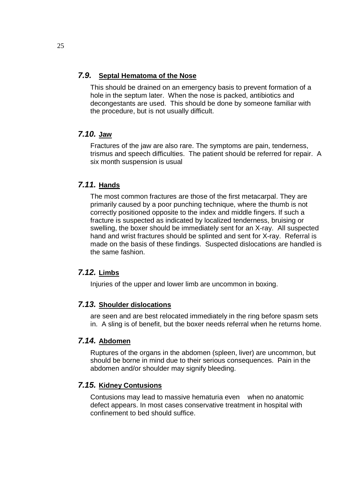### **7.9. Septal Hematoma of the Nose**

This should be drained on an emergency basis to prevent formation of a hole in the septum later. When the nose is packed, antibiotics and decongestants are used. This should be done by someone familiar with the procedure, but is not usually difficult.

# **7.10. Jaw**

Fractures of the jaw are also rare. The symptoms are pain, tenderness, trismus and speech difficulties. The patient should be referred for repair. A six month suspension is usual

# **7.11. Hands**

The most common fractures are those of the first metacarpal. They are primarily caused by a poor punching technique, where the thumb is not correctly positioned opposite to the index and middle fingers. If such a fracture is suspected as indicated by localized tenderness, bruising or swelling, the boxer should be immediately sent for an X-ray. All suspected hand and wrist fractures should be splinted and sent for X-ray. Referral is made on the basis of these findings. Suspected dislocations are handled is the same fashion.

# **7.12. Limbs**

Injuries of the upper and lower limb are uncommon in boxing.

# **7.13. Shoulder dislocations**

are seen and are best relocated immediately in the ring before spasm sets in. A sling is of benefit, but the boxer needs referral when he returns home.

# **7.14. Abdomen**

Ruptures of the organs in the abdomen (spleen, liver) are uncommon, but should be borne in mind due to their serious consequences. Pain in the abdomen and/or shoulder may signify bleeding.

# **7.15. Kidney Contusions**

Contusions may lead to massive hematuria even when no anatomic defect appears. In most cases conservative treatment in hospital with confinement to bed should suffice.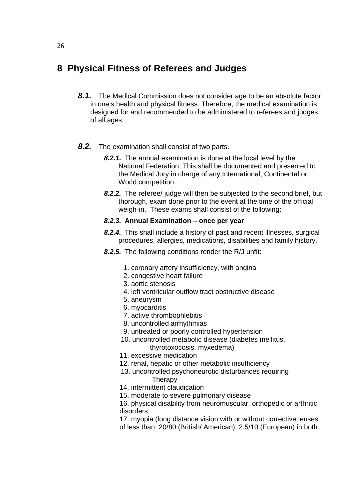# **8 Physical Fitness of Referees and Judges**

- **8.1.** The Medical Commission does not consider age to be an absolute factor in one's health and physical fitness. Therefore, the medical examination is designed for and recommended to be administered to referees and judges of all ages.
- **8.2.** The examination shall consist of two parts.
	- **8.2.1.** The annual examination is done at the local level by the National Federation. This shall be documented and presented to the Medical Jury in charge of any International, Continental or World competition.
	- **8.2.2.** The referee/ judge will then be subjected to the second brief, but thorough, exam done prior to the event at the time of the official weigh-in. These exams shall consist of the following:

### **8.2.3. Annual Examination – once per year**

- **8.2.4.** This shall include a history of past and recent illnesses, surgical procedures, allergies, medications, disabilities and family history.
- **8.2.5.** The following conditions render the R/J unfit:
	- 1. coronary artery insufficiency, with angina
	- 2. congestive heart failure
	- 3. aortic stenosis
	- 4. left ventricular outflow tract obstructive disease
	- 5. aneurysm
	- 6. myocarditis
	- 7. active thrombophlebitis
	- 8. uncontrolled arrhythmias
	- 9. untreated or poorly controlled hypertension
	- 10. uncontrolled metabolic disease (diabetes mellitus, thyrotoxocosis, myxedema)
	- 11. excessive medication
	- 12. renal, hepatic or other metabolic insufficiency
	- 13. uncontrolled psychoneurotic disturbances requiring **Therapy**
	- 14. intermittent claudication
	- 15. moderate to severe pulmonary disease

16. physical disability from neuromuscular, orthopedic or arthritic disorders

17. myopia (long distance vision with or without corrective lenses of less than 20/80 (British/ American), 2.5/10 (European) in both

#### 26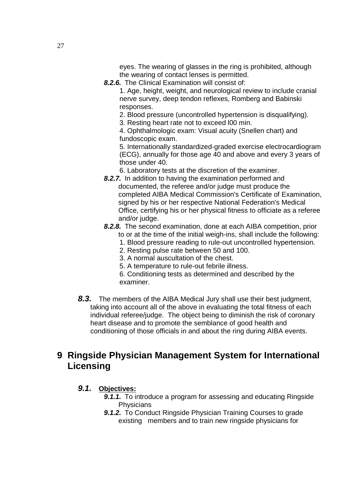eyes. The wearing of glasses in the ring is prohibited, although the wearing of contact lenses is permitted.

**8.2.6.** The Clinical Examination will consist of:

1. Age, height, weight, and neurological review to include cranial nerve survey, deep tendon reflexes, Romberg and Babinski responses.

- 2. Blood pressure (uncontrolled hypertension is disqualifying).
- 3. Resting heart rate not to exceed l00 min.

4. Ophthalmologic exam: Visual acuity (Snellen chart) and fundoscopic exam.

5. Internationally standardized-graded exercise electrocardiogram (ECG), annually for those age 40 and above and every 3 years of those under 40.

- 6. Laboratory tests at the discretion of the examiner.
- **8.2.7.** In addition to having the examination performed and documented, the referee and/or judge must produce the completed AIBA Medical Commission's Certificate of Examination, signed by his or her respective National Federation's Medical Office, certifying his or her physical fitness to officiate as a referee and/or judge.

# **8.2.8.** The second examination, done at each AIBA competition, prior

- to or at the time of the initial weigh-ins, shall include the following:
- 1. Blood pressure reading to rule-out uncontrolled hypertension.
- 2. Resting pulse rate between 50 and 100.
- 3. A normal auscultation of the chest.
- 5. A temperature to rule-out febrile illness.
- 6. Conditioning tests as determined and described by the examiner.
- **8.3.** The members of the AIBA Medical Jury shall use their best judgment, taking into account all of the above in evaluating the total fitness of each individual referee/judge. The object being to diminish the risk of coronary heart disease and to promote the semblance of good health and conditioning of those officials in and about the ring during AIBA events.

# **9 Ringside Physician Management System for International Licensing**

### **9.1. Objectives:**

- **9.1.1.** To introduce a program for assessing and educating Ringside **Physicians**
- **9.1.2.** To Conduct Ringside Physician Training Courses to grade existing members and to train new ringside physicians for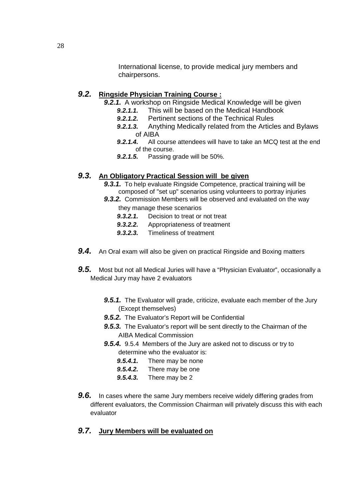International license, to provide medical jury members and chairpersons.

### **9.2. Ringside Physician Training Course :**

- **9.2.1.** A workshop on Ringside Medical Knowledge will be given
	- **9.2.1.1.** This will be based on the Medical Handbook
	- **9.2.1.2.** Pertinent sections of the Technical Rules
	- **9.2.1.3.** Anything Medically related from the Articles and Bylaws of AIBA
	- **9.2.1.4.** All course attendees will have to take an MCQ test at the end of the course.
	- **9.2.1.5.** Passing grade will be 50%.

### **9.3. An Obligatory Practical Session will be given**

- **9.3.1.** To help evaluate Ringside Competence, practical training will be composed of "set up" scenarios using volunteers to portray injuries
- **9.3.2.** Commission Members will be observed and evaluated on the way they manage these scenarios
	- **9.3.2.1.** Decision to treat or not treat
	- **9.3.2.2.** Appropriateness of treatment
	- **9.3.2.3.** Timeliness of treatment
- **9.4.** An Oral exam will also be given on practical Ringside and Boxing matters
- **9.5.** Most but not all Medical Juries will have a "Physician Evaluator", occasionally a Medical Jury may have 2 evaluators
	- **9.5.1.** The Evaluator will grade, criticize, evaluate each member of the Jury (Except themselves)
	- **9.5.2.** The Evaluator's Report will be Confidential
	- **9.5.3.** The Evaluator's report will be sent directly to the Chairman of the AIBA Medical Commission
	- **9.5.4.** 9.5.4 Members of the Jury are asked not to discuss or try to determine who the evaluator is:
		- **9.5.4.1.** There may be none
		- **9.5.4.2.** There may be one
		- **9.5.4.3.** There may be 2
- **9.6.** In cases where the same Jury members receive widely differing grades from different evaluators, the Commission Chairman will privately discuss this with each evaluator

### **9.7. Jury Members will be evaluated on**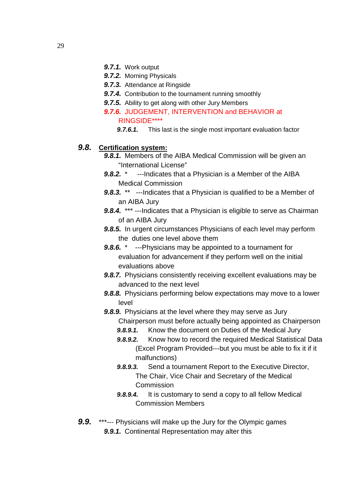- **9.7.1.** Work output
- **9.7.2.** Morning Physicals
- **9.7.3.** Attendance at Ringside
- **9.7.4.** Contribution to the tournament running smoothly
- **9.7.5.** Ability to get along with other Jury Members
- **9.7.6.** JUDGEMENT, INTERVENTION and BEHAVIOR at RINGSIDE\*\*\*\*
	- **9.7.6.1.** This last is the single most important evaluation factor

## **9.8. Certification system:**

- **9.8.1.** Members of the AIBA Medical Commission will be given an "International License"
- **9.8.2.** \* ---Indicates that a Physician is a Member of the AIBA Medical Commission
- **9.8.3.** \*\* ---Indicates that a Physician is qualified to be a Member of an AIBA Jury
- **9.8.4.** \*\*\* ---Indicates that a Physician is eligible to serve as Chairman of an AIBA Jury
- **9.8.5.** In urgent circumstances Physicians of each level may perform the duties one level above them
- **9.8.6.** \* ---Physicians may be appointed to a tournament for evaluation for advancement if they perform well on the initial evaluations above
- **9.8.7.** Physicians consistently receiving excellent evaluations may be advanced to the next level
- **9.8.8.** Physicians performing below expectations may move to a lower level
- **9.8.9.** Physicians at the level where they may serve as Jury Chairperson must before actually being appointed as Chairperson
	- **9.8.9.1.** Know the document on Duties of the Medical Jury
	- **9.8.9.2.** Know how to record the required Medical Statistical Data (Excel Program Provided---but you must be able to fix it if it malfunctions)
	- **9.8.9.3.** Send a tournament Report to the Executive Director, The Chair, Vice Chair and Secretary of the Medical **Commission**
	- **9.8.9.4.** It is customary to send a copy to all fellow Medical Commission Members
- **9.9.** \*\*\*--- Physicians will make up the Jury for the Olympic games **9.9.1.** Continental Representation may alter this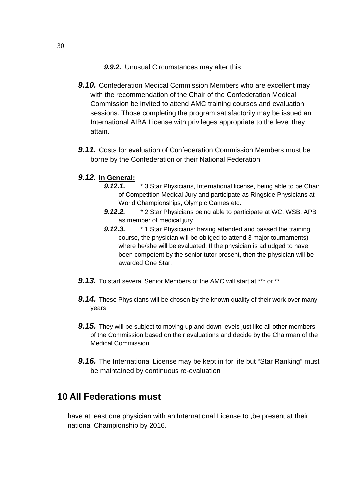#### **9.9.2.** Unusual Circumstances may alter this

- **9.10.** Confederation Medical Commission Members who are excellent may with the recommendation of the Chair of the Confederation Medical Commission be invited to attend AMC training courses and evaluation sessions. Those completing the program satisfactorily may be issued an International AIBA License with privileges appropriate to the level they attain.
- **9.11.** Costs for evaluation of Confederation Commission Members must be borne by the Confederation or their National Federation
- **9.12. In General:** 
	- **9.12.1.** \* 3 Star Physicians, International license, being able to be Chair of Competition Medical Jury and participate as Ringside Physicians at World Championships, Olympic Games etc.
	- **9.12.2.** \* 2 Star Physicians being able to participate at WC, WSB, APB as member of medical jury
	- **9.12.3.** \* 1 Star Physicians: having attended and passed the training course, the physician will be obliged to attend 3 major tournaments) where he/she will be evaluated. If the physician is adjudged to have been competent by the senior tutor present, then the physician will be awarded One Star.
- **9.13.** To start several Senior Members of the AMC will start at \*\*\* or \*\*
- **9.14.** These Physicians will be chosen by the known quality of their work over many years
- **9.15.** They will be subject to moving up and down levels just like all other members of the Commission based on their evaluations and decide by the Chairman of the Medical Commission
- **9.16.** The International License may be kept in for life but "Star Ranking" must be maintained by continuous re-evaluation

# **10 All Federations must**

have at least one physician with an International License to ,be present at their national Championship by 2016.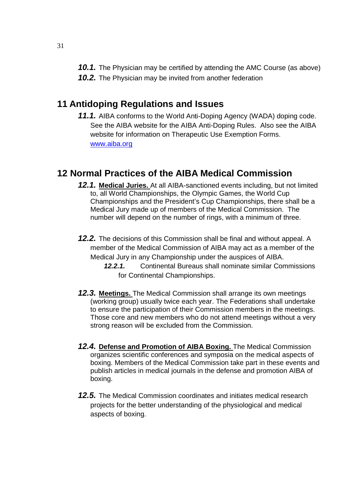**10.1.** The Physician may be certified by attending the AMC Course (as above) **10.2.** The Physician may be invited from another federation

# **11 Antidoping Regulations and Issues**

**11.1.** AIBA conforms to the World Anti-Doping Agency (WADA) doping code. See the AIBA website for the AIBA Anti-Doping Rules. Also see the AIBA website for information on Therapeutic Use Exemption Forms. www.aiba.org

# **12 Normal Practices of the AIBA Medical Commission**

- **12.1. Medical Juries.** At all AIBA-sanctioned events including, but not limited to, all World Championships, the Olympic Games, the World Cup Championships and the President's Cup Championships, there shall be a Medical Jury made up of members of the Medical Commission. The number will depend on the number of rings, with a minimum of three.
- **12.2.** The decisions of this Commission shall be final and without appeal. A member of the Medical Commission of AIBA may act as a member of the Medical Jury in any Championship under the auspices of AIBA.
	- **12.2.1.** Continental Bureaus shall nominate similar Commissions for Continental Championships.
- **12.3. Meetings.** The Medical Commission shall arrange its own meetings (working group) usually twice each year. The Federations shall undertake to ensure the participation of their Commission members in the meetings. Those core and new members who do not attend meetings without a very strong reason will be excluded from the Commission.
- **12.4. Defense and Promotion of AIBA Boxing.** The Medical Commission organizes scientific conferences and symposia on the medical aspects of boxing. Members of the Medical Commission take part in these events and publish articles in medical journals in the defense and promotion AIBA of boxing.
- **12.5.** The Medical Commission coordinates and initiates medical research projects for the better understanding of the physiological and medical aspects of boxing.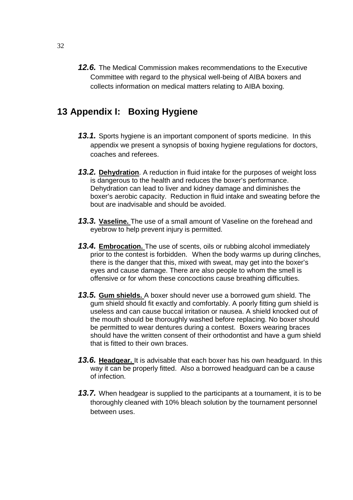**12.6.** The Medical Commission makes recommendations to the Executive Committee with regard to the physical well-being of AIBA boxers and collects information on medical matters relating to AIBA boxing.

# **13 Appendix I: Boxing Hygiene**

- **13.1.** Sports hygiene is an important component of sports medicine. In this appendix we present a synopsis of boxing hygiene regulations for doctors, coaches and referees.
- **13.2. Dehydration**. A reduction in fluid intake for the purposes of weight loss is dangerous to the health and reduces the boxer's performance. Dehydration can lead to liver and kidney damage and diminishes the boxer's aerobic capacity. Reduction in fluid intake and sweating before the bout are inadvisable and should be avoided.
- **13.3. Vaseline.** The use of a small amount of Vaseline on the forehead and eyebrow to help prevent injury is permitted.
- **13.4. Embrocation.** The use of scents, oils or rubbing alcohol immediately prior to the contest is forbidden. When the body warms up during clinches, there is the danger that this, mixed with sweat, may get into the boxer's eyes and cause damage. There are also people to whom the smell is offensive or for whom these concoctions cause breathing difficulties.
- **13.5. Gum shields.** A boxer should never use a borrowed gum shield. The gum shield should fit exactly and comfortably. A poorly fitting gum shield is useless and can cause buccal irritation or nausea. A shield knocked out of the mouth should be thoroughly washed before replacing. No boxer should be permitted to wear dentures during a contest. Boxers wearing braces should have the written consent of their orthodontist and have a gum shield that is fitted to their own braces.
- **13.6. Headgear.** It is advisable that each boxer has his own headguard. In this way it can be properly fitted. Also a borrowed headguard can be a cause of infection.
- **13.7.** When headgear is supplied to the participants at a tournament, it is to be thoroughly cleaned with 10% bleach solution by the tournament personnel between uses.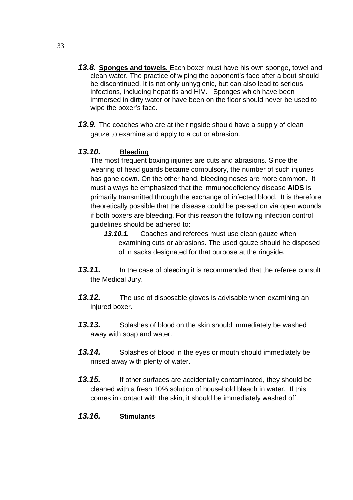- **13.8. Sponges and towels.** Each boxer must have his own sponge, towel and clean water. The practice of wiping the opponent's face after a bout should be discontinued. It is not only unhygienic, but can also lead to serious infections, including hepatitis and HIV. Sponges which have been immersed in dirty water or have been on the floor should never be used to wipe the boxer's face.
- **13.9.** The coaches who are at the ringside should have a supply of clean gauze to examine and apply to a cut or abrasion.

# **13.10. Bleeding**

The most frequent boxing injuries are cuts and abrasions. Since the wearing of head guards became compulsory, the number of such injuries has gone down. On the other hand, bleeding noses are more common. It must always be emphasized that the immunodeficiency disease **AIDS** is primarily transmitted through the exchange of infected blood. It is therefore theoretically possible that the disease could be passed on via open wounds if both boxers are bleeding. For this reason the following infection control guidelines should be adhered to:

- **13.10.1.** Coaches and referees must use clean gauze when examining cuts or abrasions. The used gauze should he disposed of in sacks designated for that purpose at the ringside.
- **13.11.** In the case of bleeding it is recommended that the referee consult the Medical Jury.
- **13.12.** The use of disposable gloves is advisable when examining an injured boxer.
- **13.13.** Splashes of blood on the skin should immediately be washed away with soap and water.
- 13.14. Splashes of blood in the eyes or mouth should immediately be rinsed away with plenty of water.
- **13.15.** If other surfaces are accidentally contaminated, they should be cleaned with a fresh 10% solution of household bleach in water. If this comes in contact with the skin, it should be immediately washed off.

# **13.16. Stimulants**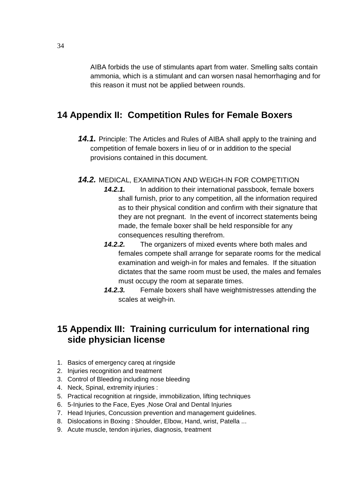AIBA forbids the use of stimulants apart from water. Smelling salts contain ammonia, which is a stimulant and can worsen nasal hemorrhaging and for this reason it must not be applied between rounds.

# **14 Appendix II: Competition Rules for Female Boxers**

- **14.1.** Principle: The Articles and Rules of AIBA shall apply to the training and competition of female boxers in lieu of or in addition to the special provisions contained in this document.
- **14.2.** MEDICAL, EXAMINATION AND WEIGH-IN FOR COMPETITION
	- **14.2.1.** In addition to their international passbook, female boxers shall furnish, prior to any competition, all the information required as to their physical condition and confirm with their signature that they are not pregnant. In the event of incorrect statements being made, the female boxer shall be held responsible for any consequences resulting therefrom.
	- **14.2.2.** The organizers of mixed events where both males and females compete shall arrange for separate rooms for the medical examination and weigh-in for males and females. If the situation dictates that the same room must be used, the males and females must occupy the room at separate times.
	- **14.2.3.** Female boxers shall have weightmistresses attending the scales at weigh-in.

# **15 Appendix III: Training curriculum for international ring side physician license**

- 1. Basics of emergency careq at ringside
- 2. Injuries recognition and treatment
- 3. Control of Bleeding including nose bleeding
- 4. Neck, Spinal, extremity injuries :
- 5. Practical recognition at ringside, immobilization, lifting techniques
- 6. 5-Injuries to the Face, Eyes ,Nose Oral and Dental Injuries
- 7. Head Injuries, Concussion prevention and management guidelines.
- 8. Dislocations in Boxing : Shoulder, Elbow, Hand, wrist, Patella ...
- 9. Acute muscle, tendon injuries, diagnosis, treatment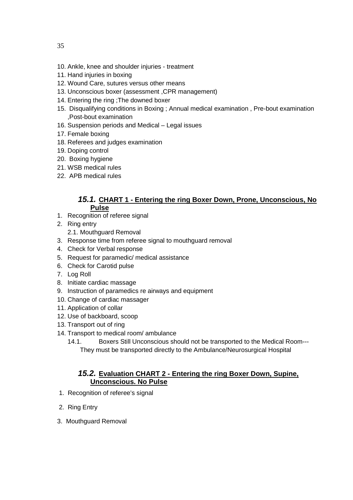- 10. Ankle, knee and shoulder injuries treatment
- 11. Hand injuries in boxing
- 12. Wound Care, sutures versus other means
- 13. Unconscious boxer (assessment ,CPR management)
- 14. Entering the ring ;The downed boxer
- 15. Disqualifying conditions in Boxing ; Annual medical examination , Pre-bout examination ,Post-bout examination
- 16. Suspension periods and Medical Legal issues
- 17. Female boxing
- 18. Referees and judges examination
- 19. Doping control
- 20. Boxing hygiene
- 21. WSB medical rules
- 22. APB medical rules

#### **15.1. CHART 1 - Entering the ring Boxer Down, Prone, Unconscious, No Pulse**

- 1. Recognition of referee signal
- 2. Ring entry
	- 2.1. Mouthguard Removal
- 3. Response time from referee signal to mouthguard removal
- 4. Check for Verbal response
- 5. Request for paramedic/ medical assistance
- 6. Check for Carotid pulse
- 7. Log Roll
- 8. Initiate cardiac massage
- 9. Instruction of paramedics re airways and equipment
- 10. Change of cardiac massager
- 11. Application of collar
- 12. Use of backboard, scoop
- 13. Transport out of ring
- 14. Transport to medical room/ ambulance
	- 14.1. Boxers Still Unconscious should not be transported to the Medical Room--- They must be transported directly to the Ambulance/Neurosurgical Hospital

### **15.2. Evaluation CHART 2 - Entering the ring Boxer Down, Supine, Unconscious. No Pulse**

- 1. Recognition of referee's signal
- 2. Ring Entry
- 3. Mouthguard Removal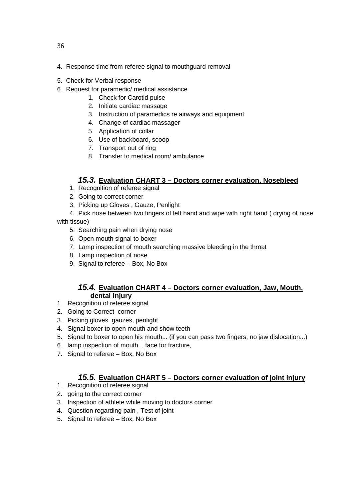- 4. Response time from referee signal to mouthguard removal
- 5. Check for Verbal response
- 6. Request for paramedic/ medical assistance
	- 1. Check for Carotid pulse
	- 2. Initiate cardiac massage
	- 3. Instruction of paramedics re airways and equipment
	- 4. Change of cardiac massager
	- 5. Application of collar
	- 6. Use of backboard, scoop
	- 7. Transport out of ring
	- 8. Transfer to medical room/ ambulance

# **15.3. Evaluation CHART 3 – Doctors corner evaluation, Nosebleed**

- 1. Recognition of referee signal
- 2. Going to correct corner
- 3. Picking up Gloves , Gauze, Penlight
- 4. Pick nose between two fingers of left hand and wipe with right hand ( drying of nose with tissue)
	- 5. Searching pain when drying nose
	- 6. Open mouth signal to boxer
	- 7. Lamp inspection of mouth searching massive bleeding in the throat
	- 8. Lamp inspection of nose
	- 9. Signal to referee Box, No Box

# **15.4. Evaluation CHART 4 – Doctors corner evaluation, Jaw, Mouth, dental injury**

- 1. Recognition of referee signal
- 2. Going to Correct corner
- 3. Picking gloves gauzes, penlight
- 4. Signal boxer to open mouth and show teeth
- 5. Signal to boxer to open his mouth... (if you can pass two fingers, no jaw dislocation...)
- 6. lamp inspection of mouth... face for fracture,
- 7. Signal to referee Box, No Box

# **15.5. Evaluation CHART 5 – Doctors corner evaluation of joint injury**

- 1. Recognition of referee signal
- 2. going to the correct corner
- 3. Inspection of athlete while moving to doctors corner
- 4. Question regarding pain , Test of joint
- 5. Signal to referee Box, No Box